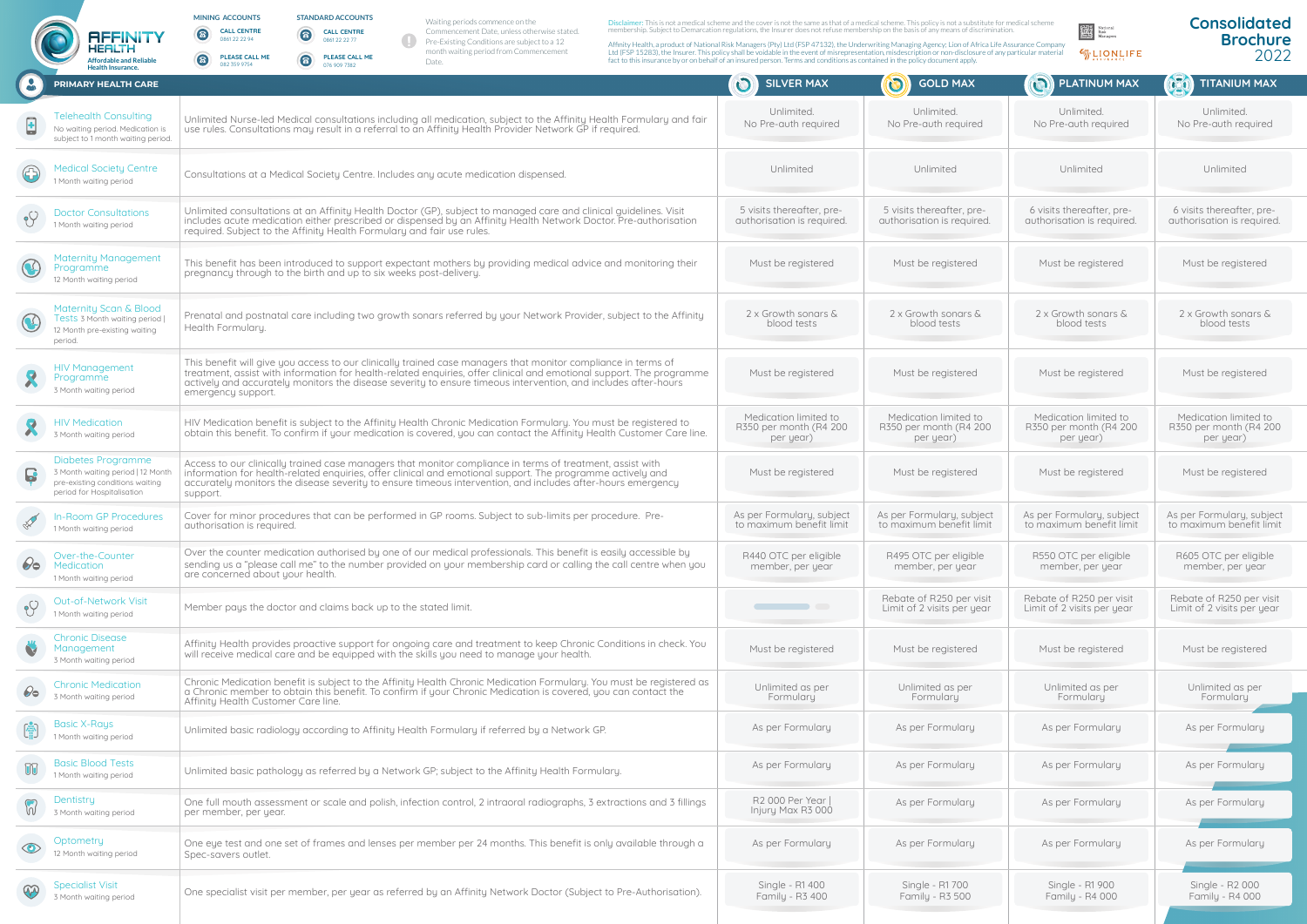## **STANDARD ACCOUNTS CALL CENTRE** 0861 22 22 77  $\bullet$

|                         | <b>Affordable and Reliable</b><br><b>Health Insurance.</b>                                                                      | <b>PLEASE CALL ME</b><br>PLEASE CALL ME<br>6<br>6<br>Date.<br>082 359 9754<br>076 909 7382                                                                                                                                                                                                                                                                                    | fact to this insurance by or on behalf of an insured person. Terms and conditions as contained in the policy document apply. |                                                              | $\eta$ Assurance $\eta$                                      | ZUZZ                                                         |
|-------------------------|---------------------------------------------------------------------------------------------------------------------------------|-------------------------------------------------------------------------------------------------------------------------------------------------------------------------------------------------------------------------------------------------------------------------------------------------------------------------------------------------------------------------------|------------------------------------------------------------------------------------------------------------------------------|--------------------------------------------------------------|--------------------------------------------------------------|--------------------------------------------------------------|
| $\bullet$               | <b>PRIMARY HEALTH CARE</b>                                                                                                      |                                                                                                                                                                                                                                                                                                                                                                               | $\mathbf{C}$<br><b>SILVER MAX</b>                                                                                            | <b>(O)</b><br><b>GOLD MAX</b>                                | PLATINUM MAX                                                 | <b>AZO</b><br><b>TITANIUM MAX</b>                            |
| $\overline{\mathbf{H}}$ | <b>Telehealth Consulting</b><br>No waiting period. Medication is<br>subject to 1 month waiting period.                          | Unlimited Nurse-led Medical consultations including all medication, subject to the Affinity Health Formulary and fair<br>use rules. Consultations may result in a referral to an Affinity Health Provider Network GP if required.                                                                                                                                             | Unlimited.<br>No Pre-auth required                                                                                           | Unlimited.<br>No Pre-auth required                           | Unlimited.<br>No Pre-auth required                           | Unlimited.<br>No Pre-auth required                           |
| $\bigoplus$             | <b>Medical Society Centre</b><br>1 Month waiting period                                                                         | Consultations at a Medical Society Centre. Includes any acute medication dispensed.                                                                                                                                                                                                                                                                                           | Unlimited                                                                                                                    | Unlimited                                                    | Unlimited                                                    | Unlimited                                                    |
| $\sqrt{2}$              | <b>Doctor Consultations</b><br>1 Month waiting period                                                                           | Unlimited consultations at an Affinity Health Doctor (GP), subject to managed care and clinical guidelines. Visit<br>includes acute medication either prescribed or dispensed by an Affinity Health Network Doctor. Pre-authorisation<br>required. Subject to the Affinity Health Formulary and fair use rules.                                                               | 5 visits thereafter, pre-<br>authorisation is required.                                                                      | 5 visits thereafter, pre-<br>authorisation is required.      | 6 visits thereafter, pre-<br>authorisation is required.      | 6 visits thereafter, pre-<br>authorisation is required.      |
| $\bigcirc$              | Maternity Management<br><i>rogramme</i><br>12 Month waiting period                                                              | This benefit has been introduced to support expectant mothers by providing medical advice and monitoring their<br>pregnancy through to the birth and up to six weeks post-delivery.                                                                                                                                                                                           | Must be registered                                                                                                           | Must be registered                                           | Must be registered                                           | Must be registered                                           |
| $\bigcirc$              | Maternity Scan & Blood<br>Tests 3 Month waiting period  <br>12 Month pre-existing waiting<br>period.                            | Prenatal and postnatal care including two growth sonars referred by your Network Provider, subject to the Affinity<br>Health Formulary.                                                                                                                                                                                                                                       | 2 x Growth sonars &<br>blood tests                                                                                           | 2 x Growth sonars &<br>blood tests                           | 2 x Growth sonars &<br>blood tests                           | 2 x Growth sonars &<br>blood tests                           |
| R                       | <b>HIV Management</b><br>Programme<br>3 Month waiting period                                                                    | This benefit will give you access to our clinically trained case managers that monitor compliance in terms of<br>treatment, assist with information for health-related enquiries, offer clinical and emotional support. The programme<br>actively and accurately monitors the disease severity to ensure timeous intervention, and includes after-hours<br>emergency support. | Must be registered                                                                                                           | Must be registered                                           | Must be registered                                           | Must be registered                                           |
| R                       | <b>HIV Medication</b><br>3 Month waiting period                                                                                 | HIV Medication benefit is subject to the Affinity Health Chronic Medication Formulary. You must be registered to<br>obtain this benefit. To confirm if your medication is covered, you can contact the Affinity Health Customer Care line.                                                                                                                                    | Medication limited to<br>R350 per month (R4 200<br>per year)                                                                 | Medication limited to<br>R350 per month (R4 200<br>per year) | Medication limited to<br>R350 per month (R4 200<br>per year) | Medication limited to<br>R350 per month (R4 200<br>per year) |
| $\mathbf{G}$            | <b>Diabetes Programme</b><br>3 Month waiting period   12 Month<br>pre-existing conditions waiting<br>period for Hospitalisation | Access to our clinically trained case managers that monitor compliance in terms of treatment, assist with<br>information for health-related enquiries, offer clinical and emotional support. The programme actively and<br>accurately monitors the disease severity to ensure timeous intervention, and includes after-hours emergency<br>support.                            | Must be registered                                                                                                           | Must be registered                                           | Must be registered                                           | Must be registered                                           |
| EN                      | In-Room GP Procedures<br>1 Month waiting period                                                                                 | Cover for minor procedures that can be performed in GP rooms. Subject to sub-limits per procedure. Pre-<br>authorisation is required.                                                                                                                                                                                                                                         | As per Formulary, subject<br>to maximum benefit limit                                                                        | As per Formulary, subject<br>to maximum benefit limit        | As per Formulary, subject<br>to maximum benefit limit        | As per Formulary, subject<br>to maximum benefit limit        |
| $\mathcal{O}_{\Theta}$  | Over-the-Counter<br><b>Medication</b><br>1 Month waiting period                                                                 | Over the counter medication authorised by one of our medical professionals. This benefit is easily accessible by<br>sending us a "please call me" to the number provided on your membership card or calling the call centre when you<br>are concerned about your health.                                                                                                      | R440 OTC per eligible<br>member, per year                                                                                    | R495 OTC per eligible<br>member, per year                    | R550 OTC per eligible<br>member, per year                    | R605 OTC per eligible<br>member, per year                    |
| $\sqrt{2}$              | Out-of-Network Visit<br>1 Month waiting period                                                                                  | Member pays the doctor and claims back up to the stated limit.                                                                                                                                                                                                                                                                                                                | <b>CONTRACTOR</b>                                                                                                            | Rebate of R250 per visit<br>Limit of 2 visits per year       | Rebate of R250 per visit<br>Limit of 2 visits per year       | Rebate of R250 per visit<br>Limit of 2 visits per year       |
| V                       | <b>Chronic Disease</b><br>Management<br>3 Month waiting period                                                                  | Affinity Health provides proactive support for ongoing care and treatment to keep Chronic Conditions in check. You<br>will receive medical care and be equipped with the skills you need to manage your health.                                                                                                                                                               | Must be registered                                                                                                           | Must be registered                                           | Must be registered                                           | Must be registered                                           |
| $\mathcal{O}_{\Theta}$  | <b>Chronic Medication</b><br>3 Month waiting period                                                                             | Chronic Medication benefit is subject to the Affinity Health Chronic Medication Formulary. You must be registered as<br>a Chronic member to obtain this benefit. To confirm if your Chronic Medication is covered, you can contact the<br>Affinity Health Customer Care line.                                                                                                 | Unlimited as per<br>Formulary                                                                                                | Unlimited as per<br>Formulary                                | Unlimited as per<br>Formulary                                | Unlimited as per<br>Formulary                                |
| 噎                       | <b>Basic X-Rays</b><br>1 Month waiting period                                                                                   | Unlimited basic radiology according to Affinity Health Formulary if referred by a Network GP.                                                                                                                                                                                                                                                                                 | As per Formulary                                                                                                             | As per Formulary                                             | As per Formulary                                             | As per Formulary                                             |
| ŪŪ                      | <b>Basic Blood Tests</b><br>1 Month waiting period                                                                              | Unlimited basic pathology as referred by a Network GP; subject to the Affinity Health Formulary.                                                                                                                                                                                                                                                                              | As per Formulary                                                                                                             | As per Formulary                                             | As per Formulary                                             | As per Formulary                                             |
| $\omega$                | Dentistry<br>3 Month waiting period                                                                                             | One full mouth assessment or scale and polish, infection control, 2 intraoral radiographs, 3 extractions and 3 fillings<br>per member, per year.                                                                                                                                                                                                                              | R2 000 Per Year  <br>Injury Max R3 000                                                                                       | As per Formulary                                             | As per Formulary                                             | As per Formulary                                             |
| $\odot$                 | Optometry<br>12 Month waiting period                                                                                            | One eye test and one set of frames and lenses per member per 24 months. This benefit is only available through a<br>Spec-savers outlet.                                                                                                                                                                                                                                       | As per Formulary                                                                                                             | As per Formulary                                             | As per Formulary                                             | As per Formulary                                             |
| 3                       | <b>Specialist Visit</b><br>3 Month waiting period                                                                               | One specialist visit per member, per year as referred by an Affinity Network Doctor (Subject to Pre-Authorisation).                                                                                                                                                                                                                                                           | Single - R1 400<br>Family - R3 400                                                                                           | Single - R1 700<br>Family - R3 500                           | Single - R1 900<br>Family - R4 000                           | Single - R2 000<br>Family - R4 000                           |



## **Consolidated Brochure**

**MINING ACCOUNTS CALL CENTRE** 0861 22 22 94

 $\odot$ 

8

Waiting periods commence on the Commencement Date, unless otherwise stated. Pre-Existing Conditions are subject to a 12 month waiting period from Commencement Date.

Disclaimer: This is not a medical scheme and the cover is not the same as that of a medical scheme. This policy is not a substitute for medical scheme<br>membership. Subject to Demarcation regulations, the Insurer does not re

**HEFILTH**<br>Affinity Helt Affinity Health, a product of National Risk Managers (Pty) Ltd (FSP 47132), the Underwriting Managing Agency; Lion of Africa Life Assurance Company<br>Affordable and Reliable **CONFINE CONFINERS CALL ME**